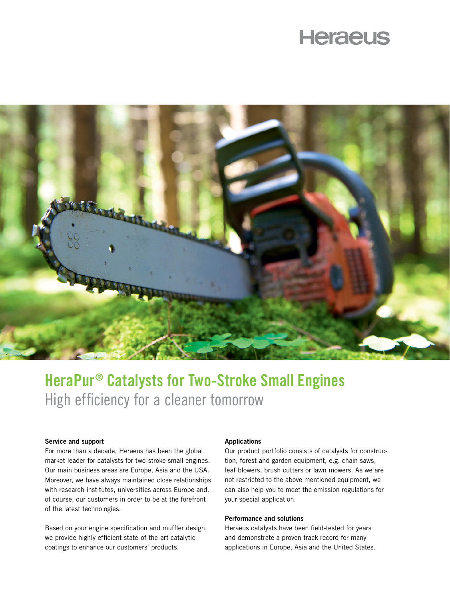# **Heraeus**



## HeraPur® Catalysts for Two-Stroke Small Engines High efficiency for a cleaner tomorrow

### Service and support

For more than a decade, Heraeus has been the global market leader for catalysts for two-stroke small engines. Our main business areas are Europe, Asia and the USA. Moreover, we have always maintained close relationships with research institutes, universities across Europe and, of course, our customers in order to be at the forefront of the latest technologies.

Based on your engine specification and muffler design, we provide highly efficient state-of-the-art catalytic coatings to enhance our customers' products.

#### Applications

Our product portfolio consists of catalysts for construction, forest and garden equipment, e.g. chain saws, leaf blowers, brush cutters or lawn mowers. As we are not restricted to the above mentioned equipment, we can also help you to meet the emission regulations for your special application.

### Performance and solutions

Heraeus catalysts have been field-tested for years and demonstrate a proven track record for many applications in Europe, Asia and the United States.